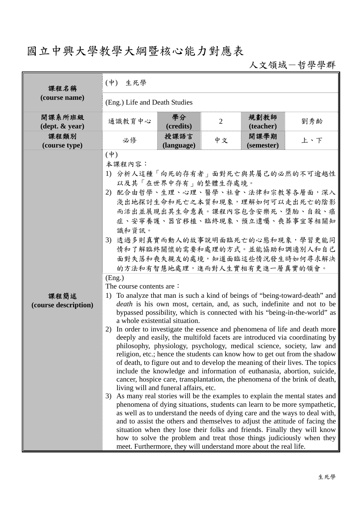## 國立中興大學教學大綱暨核心能力對應表

人文領域-哲學學群

| 課程名稱                                       | $(\dagger)$<br>生死學                                                                                                                            |                                                                         |                |                                                                   |                                                                                                                                                                                                                                                                                                                                                                                                                                                                                                                                                                                                                                                                                                                                                                                                                                                                                                                                                                                                                                                                                                                                                                                                                                                                                      |  |  |
|--------------------------------------------|-----------------------------------------------------------------------------------------------------------------------------------------------|-------------------------------------------------------------------------|----------------|-------------------------------------------------------------------|--------------------------------------------------------------------------------------------------------------------------------------------------------------------------------------------------------------------------------------------------------------------------------------------------------------------------------------------------------------------------------------------------------------------------------------------------------------------------------------------------------------------------------------------------------------------------------------------------------------------------------------------------------------------------------------------------------------------------------------------------------------------------------------------------------------------------------------------------------------------------------------------------------------------------------------------------------------------------------------------------------------------------------------------------------------------------------------------------------------------------------------------------------------------------------------------------------------------------------------------------------------------------------------|--|--|
| (course name)                              | (Eng.) Life and Death Studies                                                                                                                 |                                                                         |                |                                                                   |                                                                                                                                                                                                                                                                                                                                                                                                                                                                                                                                                                                                                                                                                                                                                                                                                                                                                                                                                                                                                                                                                                                                                                                                                                                                                      |  |  |
| 開課系所班級<br>$(\text{dept.} \& \text{ year})$ | 通識教育中心                                                                                                                                        | 學分<br>(credits)                                                         | $\overline{2}$ | 規劃教師<br>(teacher)                                                 | 劉秀齡                                                                                                                                                                                                                                                                                                                                                                                                                                                                                                                                                                                                                                                                                                                                                                                                                                                                                                                                                                                                                                                                                                                                                                                                                                                                                  |  |  |
| 課程類別<br>(course type)                      | 必修                                                                                                                                            | 授課語言<br>(language)                                                      | 中文             | 開課學期<br>(semester)                                                | 上、下                                                                                                                                                                                                                                                                                                                                                                                                                                                                                                                                                                                                                                                                                                                                                                                                                                                                                                                                                                                                                                                                                                                                                                                                                                                                                  |  |  |
|                                            | $(\dagger)$<br>本課程內容:<br>1) 分析人這種「向死的存有者」面對死亡與其屬己的必然的不可逾越性<br>2) 配合由哲學、生理、心理、醫學、社會、法律和宗教等各層面,深入<br>識和資訊。<br>3) 透過多則真實而動人的故事說明面臨死亡的心態和現象,學習更能同 | 以及其「在世界中存有」的整體生存處境。                                                     |                | 的方法和有智慧地處理,進而對人生實相有更進一層真實的領會。                                     | 淺出地探討生命和死亡之本質和現象,理解如何可以走出死亡的陰影<br>而活出並展現出其生命意義。課程內容包含安樂死、墮胎、自殺、癌<br>症、安寧養護、器官移植、臨終現象、預立遺囑、喪葬事宜等相關知<br>情和了解臨終關懷的需要和處理的方式。並能協助和調適別人和自己<br>面對失落和喪失親友的處境,知道面臨這些情況發生時如何尋求解決                                                                                                                                                                                                                                                                                                                                                                                                                                                                                                                                                                                                                                                                                                                                                                                                                                                                                                                                                                                                                                                                                                               |  |  |
| 課程簡述<br>(course description)               | (Eng.)<br>The course contents are:<br>2)<br>3)                                                                                                | a whole existential situation.<br>living will and funeral affairs, etc. |                | meet. Furthermore, they will understand more about the real life. | 1) To analyze that man is such a kind of beings of "being-toward-death" and<br><i>death</i> is his own most, certain, and, as such, indefinite and not to be<br>bypassed possibility, which is connected with his "being-in-the-world" as<br>In order to investigate the essence and phenomena of life and death more<br>deeply and easily, the multifold facets are introduced via coordinating by<br>philosophy, physiology, psychology, medical science, society, law and<br>religion, etc.; hence the students can know how to get out from the shadow<br>of death, to figure out and to develop the meaning of their lives. The topics<br>include the knowledge and information of euthanasia, abortion, suicide,<br>cancer, hospice care, transplantation, the phenomena of the brink of death,<br>As many real stories will be the examples to explain the mental states and<br>phenomena of dying situations, students can learn to be more sympathetic,<br>as well as to understand the needs of dying care and the ways to deal with,<br>and to assist the others and themselves to adjust the attitude of facing the<br>situation when they lose their folks and friends. Finally they will know<br>how to solve the problem and treat those things judiciously when they |  |  |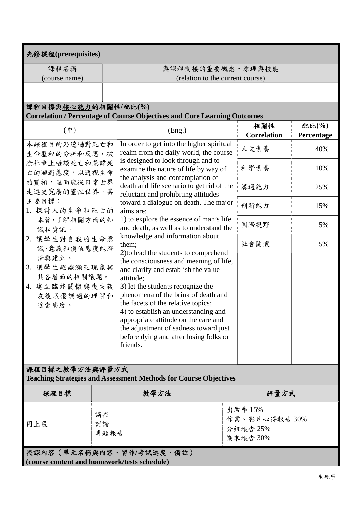| 先修課程(prerequisites)                                                                            |                  |                                                                                                                                                                                                                                                                                                                                                                                             |                                                 |                          |  |  |  |
|------------------------------------------------------------------------------------------------|------------------|---------------------------------------------------------------------------------------------------------------------------------------------------------------------------------------------------------------------------------------------------------------------------------------------------------------------------------------------------------------------------------------------|-------------------------------------------------|--------------------------|--|--|--|
| 課程名稱                                                                                           |                  | 與課程銜接的重要概念、原理與技能                                                                                                                                                                                                                                                                                                                                                                            |                                                 |                          |  |  |  |
| (course name)                                                                                  |                  | (relation to the current course)                                                                                                                                                                                                                                                                                                                                                            |                                                 |                          |  |  |  |
|                                                                                                |                  |                                                                                                                                                                                                                                                                                                                                                                                             |                                                 |                          |  |  |  |
| 課程目標與核心能力的相關性/配比(%)                                                                            |                  |                                                                                                                                                                                                                                                                                                                                                                                             |                                                 |                          |  |  |  |
|                                                                                                |                  | <b>Correlation / Percentage of Course Objectives and Core Learning Outcomes</b>                                                                                                                                                                                                                                                                                                             |                                                 |                          |  |  |  |
| $(\dagger)$                                                                                    |                  | (Eng.)                                                                                                                                                                                                                                                                                                                                                                                      | 相關性<br><b>Correlation</b>                       | 配比 $(\% )$<br>Percentage |  |  |  |
| 本課程目的乃透過對死亡和<br>生命歷程的分析和反思,破                                                                   |                  | In order to get into the higher spiritual<br>realm from the daily world, the course                                                                                                                                                                                                                                                                                                         | 人文素養                                            | 40%                      |  |  |  |
| 除社會上避談死亡和忌諱死<br>亡的迴避態度,以透視生命<br>的實相,進而能從日常世界<br>走進更寬廣的靈性世界。其<br>主要目標:<br>1. 探討人的生命和死亡的         |                  | is designed to look through and to<br>examine the nature of life by way of                                                                                                                                                                                                                                                                                                                  | 科學素養                                            | 10%                      |  |  |  |
|                                                                                                |                  | the analysis and contemplation of<br>death and life scenario to get rid of the<br>reluctant and prohibiting attitudes                                                                                                                                                                                                                                                                       | 溝通能力                                            | 25%                      |  |  |  |
|                                                                                                |                  | toward a dialogue on death. The major<br>aims are:                                                                                                                                                                                                                                                                                                                                          | 創新能力                                            | 15%                      |  |  |  |
| 本質,了解相關方面的知<br>識和資訊。                                                                           |                  | 1) to explore the essence of man's life<br>and death, as well as to understand the                                                                                                                                                                                                                                                                                                          | 國際視野                                            | 5%                       |  |  |  |
| 2. 讓學生對自我的生命意<br>識、意義和價值態度能澄                                                                   |                  | knowledge and information about<br>them;<br>2) to lead the students to comprehend                                                                                                                                                                                                                                                                                                           | 社會關懷                                            | 5%                       |  |  |  |
| 清與建立。<br>3. 讓學生認識瀕死現象與<br>其各層面的相關議題。<br>4. 建立臨終關懷與喪失親<br>友後哀傷調適的理解和<br>適當態度。<br>課程目標之教學方法與評量方式 |                  | the consciousness and meaning of life,<br>and clarify and establish the value<br>attitude;<br>3) let the students recognize the<br>phenomena of the brink of death and<br>the facets of the relative topics;<br>4) to establish an understanding and<br>appropriate attitude on the care and<br>the adjustment of sadness toward just<br>before dying and after losing folks or<br>friends. |                                                 |                          |  |  |  |
|                                                                                                |                  | <b>Teaching Strategies and Assessment Methods for Course Objectives</b>                                                                                                                                                                                                                                                                                                                     |                                                 |                          |  |  |  |
| 課程目標                                                                                           |                  | 教學方法                                                                                                                                                                                                                                                                                                                                                                                        |                                                 | 評量方式                     |  |  |  |
| 同上段                                                                                            | 講授<br>討論<br>專題報告 |                                                                                                                                                                                                                                                                                                                                                                                             | 出席率 15%<br>作業、影片心得報告30%<br>分組報告 25%<br>期末報告 30% |                          |  |  |  |
| 授課內容 (單元名稱與內容、習作/考試進度、備註)<br>(course content and homework/tests schedule)                      |                  |                                                                                                                                                                                                                                                                                                                                                                                             |                                                 |                          |  |  |  |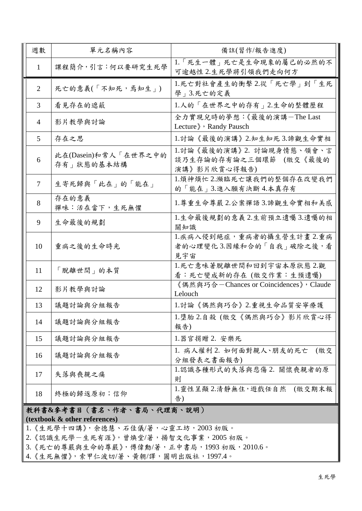| 週數                        |                | 單元名稱內容                             | 備註(習作/報告進度)                                                         |  |  |
|---------------------------|----------------|------------------------------------|---------------------------------------------------------------------|--|--|
|                           | $\mathbf{1}$   | 課程簡介,引言:何以要研究生死學                   | 1.「死生一體」死亡是生命現象的屬己的必然的不<br>可逾越性 2.生死學將引領我們走向何方                      |  |  |
|                           | $\overline{2}$ | 死亡的意義(「不知死,焉知生」)                   | 1.死亡對社會產生的衝擊2.從「死亡學」到「生死<br>學」3.死亡的定義                               |  |  |
|                           | 3              | 看見存在的遮蔽                            | 1.人的「在世界之中的存有」2.生命的整體歷程                                             |  |  |
|                           | $\overline{4}$ | 影片教學與討論                            | 全力實現兒時的夢想:《最後的演講-The Last<br>Lecture » Randy Pausch                 |  |  |
|                           | 5              | 存在之思                               | 1.討論《最後的演講》2.知生知死3.諦觀生命實相                                           |  |  |
|                           | 6              | 此在(Dasein)和常人「在世界之中的<br>存有 狀態的基本結構 | 1.討論《最後的演講》2. 討論現身情態、領會、言<br>談乃生存論的存有論之三個環節 (繳交《最後的<br>演講》影片欣賞心得報告) |  |  |
|                           | $\overline{7}$ | 生寄死歸與「此在」的「能在」                     | 1.煩神煩忙2.瀕臨死亡讓我們的整個存在改變我們<br>的「能在」3.進入願有決斷4.本真存有                     |  |  |
|                           | 8              | 存在的意義<br>禪味:活在當下,生死無懼              | 1.尊重生命尊嚴2.公案禪語3.諦觀生命實相和美感                                           |  |  |
|                           | 9              | 生命最後的規劃                            | 1.生命最後規劃的意義 2.生前預立遺囑 3.遺囑的相<br>關知識                                  |  |  |
|                           | 10             | 重病之後的生命時光                          | 1.疾病入侵到絕症,重病者的攝生營生計畫2.重病<br>者的心理變化3.因緣和合的「自我」破除之後,看<br>見宇宙          |  |  |
|                           | 11             | 「脫離世間」的本質                          | 1.死亡意味著脫離世間和回到宇宙本原狀態 2.觀<br>看:死亡變成新的存在 (繳交作業:生預遺囑)                  |  |  |
|                           | 12             | 影片教學與討論                            | 《偶然與巧合-Chances or Coincidences》, Claude<br>Lelouch                  |  |  |
|                           | 13             | 議題討論與分組報告                          | 1.討論《偶然與巧合》2.重視生命品質安寧療護                                             |  |  |
| 14                        |                | 議題討論與分組報告                          | 1.墮胎 2.自殺 (繳交《偶然與巧合》影片欣賞心得<br>報告)                                   |  |  |
|                           | 15             | 議題討論與分組報告                          | 1.器官捐贈 2. 安樂死                                                       |  |  |
|                           | 16             | 議題討論與分組報告                          | 1. 病人權利 2. 如何面對親人、朋友的死亡<br>(繳交<br>分組發表之書面報告)                        |  |  |
|                           | 17             | 失落與喪親之痛                            | 1.認識各種形式的失落與悲傷 2. 關懷喪親者的原<br>則                                      |  |  |
|                           | 18             | 終極的歸返原初;信仰                         | 1.靈性呈顯 2.清靜無住,遊戲任自然<br>(繳交期末報<br>告)                                 |  |  |
| 教科書&參考書目(書名、作者、書局、代理商、說明) |                |                                    |                                                                     |  |  |

**(textbook & other references)**

1. 《生死學十四講》, 余德慧、石佳儀/著, 心靈工坊, 2003 初版。

2. 《認識生死學一生死有涯》, 曾焕堂/著, 揚智文化事業, 2005 初版。

3.《死亡的尊嚴與生命的尊嚴》,傅偉勳/著,正中書局,1993 初版,2010.6。

4. 《生死無懼》, 索甲仁波切/著、黃朝/譯, 圓明出版社, 1997.4。